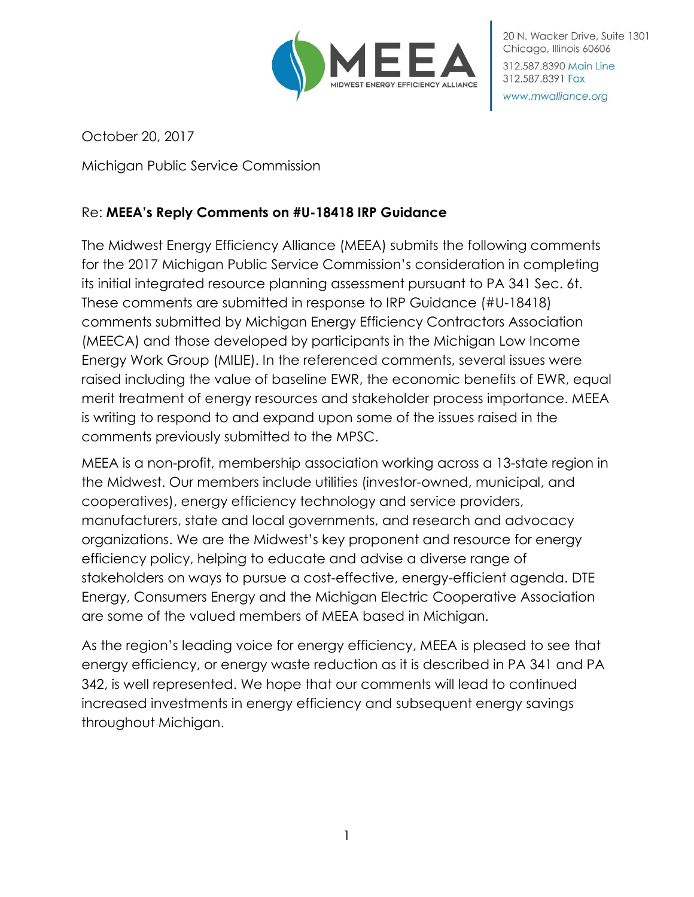

20 N. Wacker Drive, Suite 1301 Chicago, Illinois 60606 312,587,8390 Main Line 312.587.8391 Fax www.mwalliance.org

October 20, 2017

Michigan Public Service Commission

# Re: **MEEA's Reply Comments on #U-18418 IRP Guidance**

The Midwest Energy Efficiency Alliance (MEEA) submits the following comments for the 2017 Michigan Public Service Commission's consideration in completing its initial integrated resource planning assessment pursuant to PA 341 Sec. 6t. These comments are submitted in response to IRP Guidance (#U-18418) comments submitted by Michigan Energy Efficiency Contractors Association (MEECA) and those developed by participants in the Michigan Low Income Energy Work Group (MILIE). In the referenced comments, several issues were raised including the value of baseline EWR, the economic benefits of EWR, equal merit treatment of energy resources and stakeholder process importance. MEEA is writing to respond to and expand upon some of the issues raised in the comments previously submitted to the MPSC.

MEEA is a non-profit, membership association working across a 13-state region in the Midwest. Our members include utilities (investor-owned, municipal, and cooperatives), energy efficiency technology and service providers, manufacturers, state and local governments, and research and advocacy organizations. We are the Midwest's key proponent and resource for energy efficiency policy, helping to educate and advise a diverse range of stakeholders on ways to pursue a cost-effective, energy-efficient agenda. DTE Energy, Consumers Energy and the Michigan Electric Cooperative Association are some of the valued members of MEEA based in Michigan.

As the region's leading voice for energy efficiency, MEEA is pleased to see that energy efficiency, or energy waste reduction as it is described in PA 341 and PA 342, is well represented. We hope that our comments will lead to continued increased investments in energy efficiency and subsequent energy savings throughout Michigan.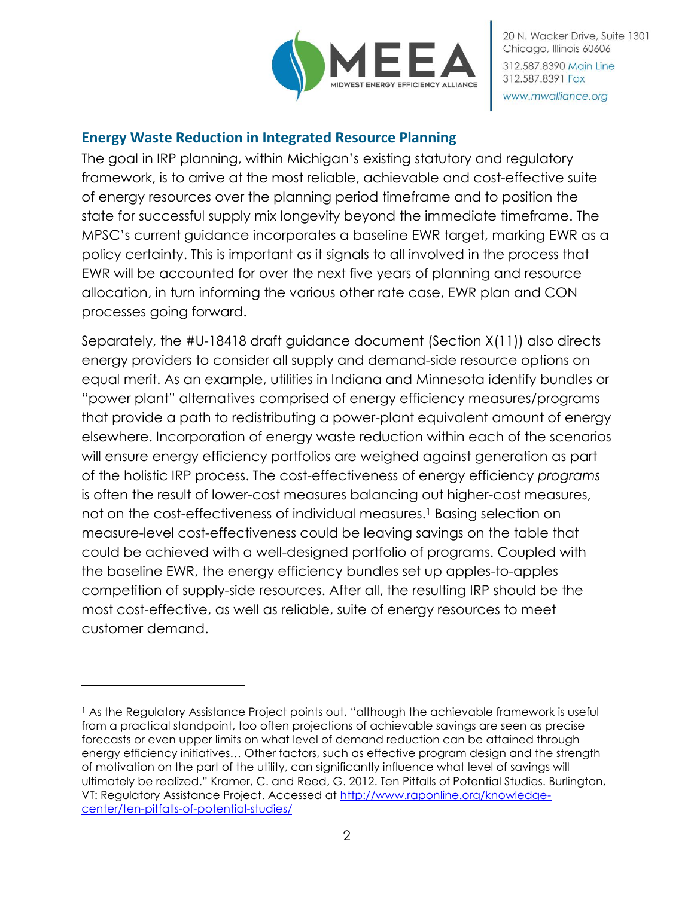

20 N. Wacker Drive, Suite 1301 Chicago, Illinois 60606 312.587.8390 Main Line 312.587.8391 Fax www.mwalliance.org

#### **Energy Waste Reduction in Integrated Resource Planning**

The goal in IRP planning, within Michigan's existing statutory and regulatory framework, is to arrive at the most reliable, achievable and cost-effective suite of energy resources over the planning period timeframe and to position the state for successful supply mix longevity beyond the immediate timeframe. The MPSC's current guidance incorporates a baseline EWR target, marking EWR as a policy certainty. This is important as it signals to all involved in the process that EWR will be accounted for over the next five years of planning and resource allocation, in turn informing the various other rate case, EWR plan and CON processes going forward.

Separately, the #U-18418 draft guidance document (Section X(11)) also directs energy providers to consider all supply and demand-side resource options on equal merit. As an example, utilities in Indiana and Minnesota identify bundles or "power plant" alternatives comprised of energy efficiency measures/programs that provide a path to redistributing a power-plant equivalent amount of energy elsewhere. Incorporation of energy waste reduction within each of the scenarios will ensure energy efficiency portfolios are weighed against generation as part of the holistic IRP process. The cost-effectiveness of energy efficiency *programs* is often the result of lower-cost measures balancing out higher-cost measures, not on the cost-effectiveness of individual measures.<sup>1</sup> Basing selection on measure-level cost-effectiveness could be leaving savings on the table that could be achieved with a well-designed portfolio of programs. Coupled with the baseline EWR, the energy efficiency bundles set up apples-to-apples competition of supply-side resources. After all, the resulting IRP should be the most cost-effective, as well as reliable, suite of energy resources to meet customer demand.

 $\overline{a}$ 

<sup>1</sup> As the Regulatory Assistance Project points out, "although the achievable framework is useful from a practical standpoint, too often projections of achievable savings are seen as precise forecasts or even upper limits on what level of demand reduction can be attained through energy efficiency initiatives… Other factors, such as effective program design and the strength of motivation on the part of the utility, can significantly influence what level of savings will ultimately be realized." Kramer, C. and Reed, G. 2012. Ten Pitfalls of Potential Studies. Burlington, VT: Regulatory Assistance Project. Accessed at [http://www.raponline.org/knowledge](http://www.raponline.org/knowledge-center/ten-pitfalls-of-potential-studies/)[center/ten-pitfalls-of-potential-studies/](http://www.raponline.org/knowledge-center/ten-pitfalls-of-potential-studies/)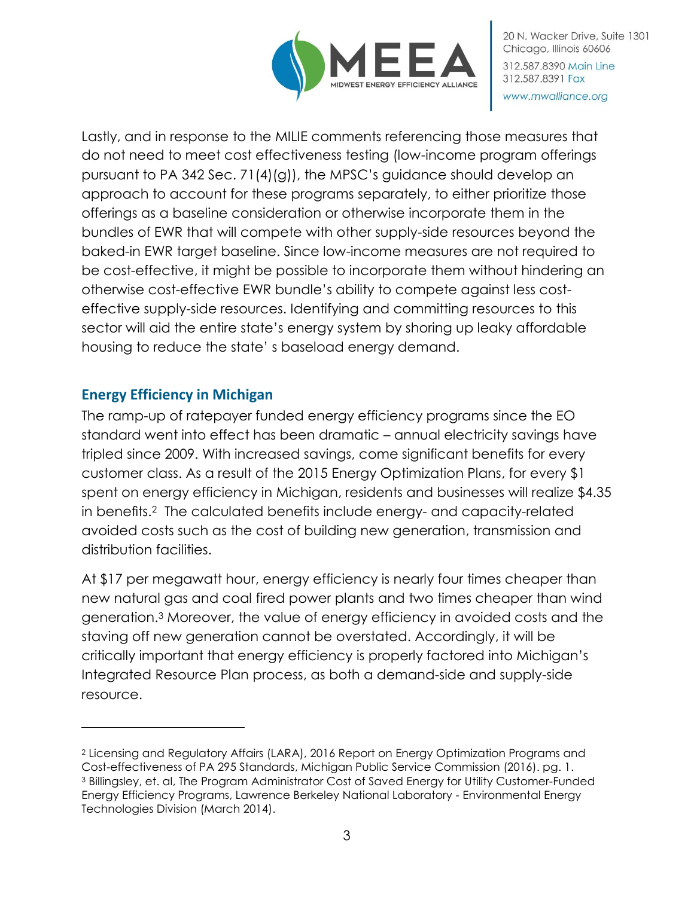

Lastly, and in response to the MILIE comments referencing those measures that do not need to meet cost effectiveness testing (low-income program offerings pursuant to PA 342 Sec. 71(4)(g)), the MPSC's guidance should develop an approach to account for these programs separately, to either prioritize those offerings as a baseline consideration or otherwise incorporate them in the bundles of EWR that will compete with other supply-side resources beyond the baked-in EWR target baseline. Since low-income measures are not required to be cost-effective, it might be possible to incorporate them without hindering an otherwise cost-effective EWR bundle's ability to compete against less costeffective supply-side resources. Identifying and committing resources to this sector will aid the entire state's energy system by shoring up leaky affordable housing to reduce the state' s baseload energy demand.

## **Energy Efficiency in Michigan**

 $\overline{a}$ 

The ramp-up of ratepayer funded energy efficiency programs since the EO standard went into effect has been dramatic – annual electricity savings have tripled since 2009. With increased savings, come significant benefits for every customer class. As a result of the 2015 Energy Optimization Plans, for every \$1 spent on energy efficiency in Michigan, residents and businesses will realize \$4.35 in benefits.2 The calculated benefits include energy- and capacity-related avoided costs such as the cost of building new generation, transmission and distribution facilities.

At \$17 per megawatt hour, energy efficiency is nearly four times cheaper than new natural gas and coal fired power plants and two times cheaper than wind generation.<sup>3</sup> Moreover, the value of energy efficiency in avoided costs and the staving off new generation cannot be overstated. Accordingly, it will be critically important that energy efficiency is properly factored into Michigan's Integrated Resource Plan process, as both a demand-side and supply-side resource.

<sup>2</sup> Licensing and Regulatory Affairs (LARA), 2016 Report on Energy Optimization Programs and Cost-effectiveness of PA 295 Standards, Michigan Public Service Commission (2016). pg. 1. <sup>3</sup> Billingsley, et. al, The Program Administrator Cost of Saved Energy for Utility Customer-Funded Energy Efficiency Programs, Lawrence Berkeley National Laboratory - Environmental Energy Technologies Division (March 2014).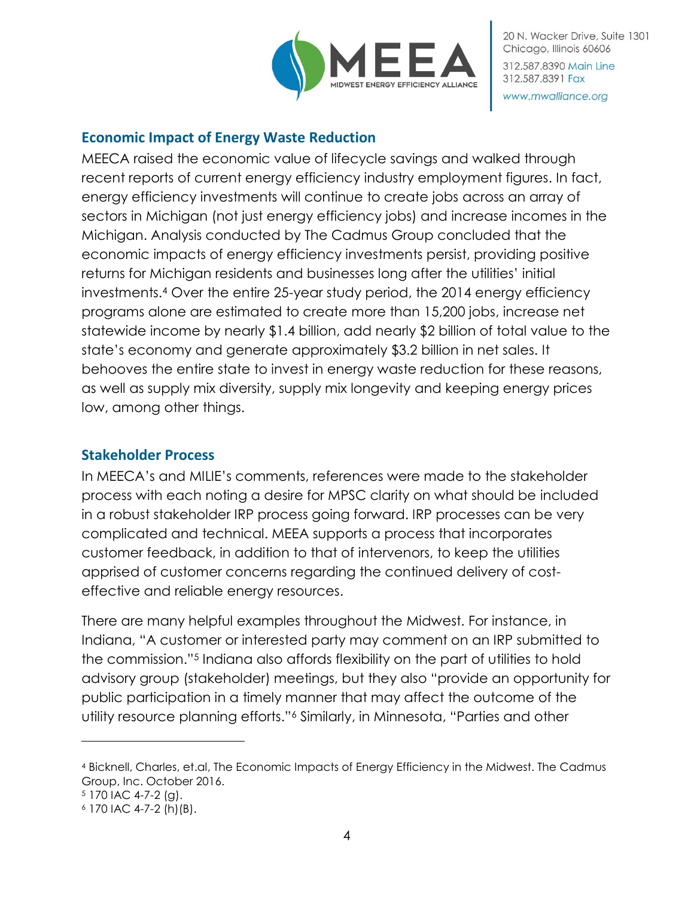

20 N. Wacker Drive, Suite 1301 Chicago, Illinois 60606 312,587,8390 Main Line 312.587.8391 Fax www.mwalliance.org

#### **Economic Impact of Energy Waste Reduction**

MEECA raised the economic value of lifecycle savings and walked through recent reports of current energy efficiency industry employment figures. In fact, energy efficiency investments will continue to create jobs across an array of sectors in Michigan (not just energy efficiency jobs) and increase incomes in the Michigan. Analysis conducted by The Cadmus Group concluded that the economic impacts of energy efficiency investments persist, providing positive returns for Michigan residents and businesses long after the utilities' initial investments.<sup>4</sup> Over the entire 25-year study period, the 2014 energy efficiency programs alone are estimated to create more than 15,200 jobs, increase net statewide income by nearly \$1.4 billion, add nearly \$2 billion of total value to the state's economy and generate approximately \$3.2 billion in net sales. It behooves the entire state to invest in energy waste reduction for these reasons, as well as supply mix diversity, supply mix longevity and keeping energy prices low, among other things.

#### **Stakeholder Process**

In MEECA's and MILIE's comments, references were made to the stakeholder process with each noting a desire for MPSC clarity on what should be included in a robust stakeholder IRP process going forward. IRP processes can be very complicated and technical. MEEA supports a process that incorporates customer feedback, in addition to that of intervenors, to keep the utilities apprised of customer concerns regarding the continued delivery of costeffective and reliable energy resources.

There are many helpful examples throughout the Midwest. For instance, in Indiana, "A customer or interested party may comment on an IRP submitted to the commission."<sup>5</sup> Indiana also affords flexibility on the part of utilities to hold advisory group (stakeholder) meetings, but they also "provide an opportunity for public participation in a timely manner that may affect the outcome of the utility resource planning efforts."<sup>6</sup> Similarly, in Minnesota, "Parties and other

 $\overline{a}$ 

<sup>4</sup> Bicknell, Charles, et.al, The Economic Impacts of Energy Efficiency in the Midwest. The Cadmus Group, Inc. October 2016.

 $5$  170 IAC 4-7-2 (g).

<sup>6</sup> 170 IAC 4-7-2 (h)(B).